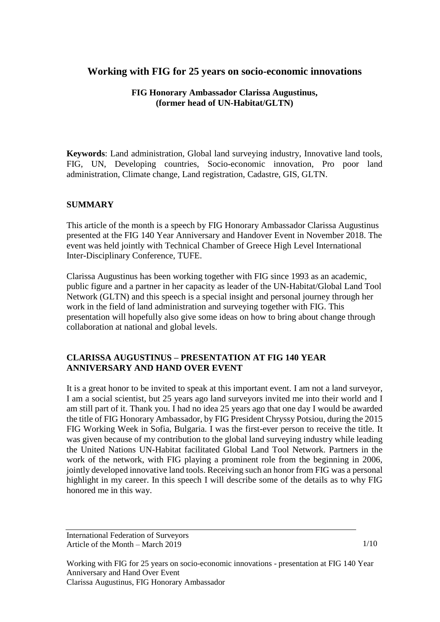# **Working with FIG for 25 years on socio-economic innovations**

**FIG Honorary Ambassador Clarissa Augustinus, (former head of UN-Habitat/GLTN)**

**Keywords**: Land administration, Global land surveying industry, Innovative land tools, FIG, UN, Developing countries, Socio-economic innovation, Pro poor land administration, Climate change, Land registration, Cadastre, GIS, GLTN.

## **SUMMARY**

This article of the month is a speech by FIG Honorary Ambassador Clarissa Augustinus presented at the FIG 140 Year Anniversary and Handover Event in November 2018. The event was held jointly with Technical Chamber of Greece High Level International Inter-Disciplinary Conference, TUFE.

Clarissa Augustinus has been working together with FIG since 1993 as an academic, public figure and a partner in her capacity as leader of the UN-Habitat/Global Land Tool Network (GLTN) and this speech is a special insight and personal journey through her work in the field of land administration and surveying together with FIG. This presentation will hopefully also give some ideas on how to bring about change through collaboration at national and global levels.

## **CLARISSA AUGUSTINUS – PRESENTATION AT FIG 140 YEAR ANNIVERSARY AND HAND OVER EVENT**

It is a great honor to be invited to speak at this important event. I am not a land surveyor, I am a social scientist, but 25 years ago land surveyors invited me into their world and I am still part of it. Thank you. I had no idea 25 years ago that one day I would be awarded the title of FIG Honorary Ambassador, by FIG President Chryssy Potsiou, during the 2015 FIG Working Week in Sofia, Bulgaria. I was the first-ever person to receive the title. It was given because of my contribution to the global land surveying industry while leading the United Nations UN-Habitat facilitated Global Land Tool Network. Partners in the work of the network, with FIG playing a prominent role from the beginning in 2006, jointly developed innovative land tools. Receiving such an honor from FIG was a personal highlight in my career. In this speech I will describe some of the details as to why FIG honored me in this way.

International Federation of Surveyors Article of the Month – March 2019

1/10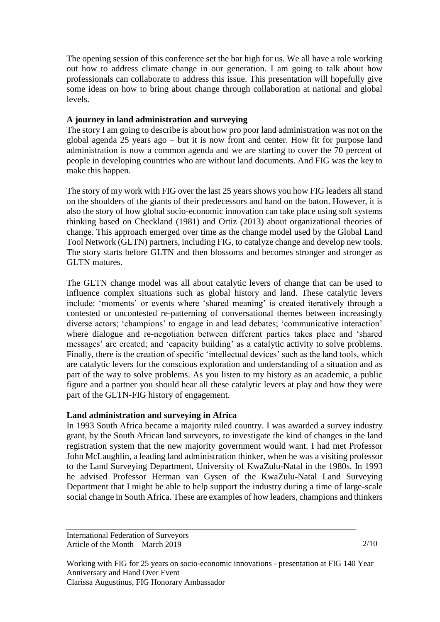The opening session of this conference set the bar high for us. We all have a role working out how to address climate change in our generation. I am going to talk about how professionals can collaborate to address this issue. This presentation will hopefully give some ideas on how to bring about change through collaboration at national and global levels.

### **A journey in land administration and surveying**

The story I am going to describe is about how pro poor land administration was not on the global agenda 25 years ago – but it is now front and center. How fit for purpose land administration is now a common agenda and we are starting to cover the 70 percent of people in developing countries who are without land documents. And FIG was the key to make this happen.

The story of my work with FIG over the last 25 years shows you how FIG leaders all stand on the shoulders of the giants of their predecessors and hand on the baton. However, it is also the story of how global socio-economic innovation can take place using soft systems thinking based on Checkland (1981) and Ortiz (2013) about organizational theories of change. This approach emerged over time as the change model used by the Global Land Tool Network (GLTN) partners, including FIG, to catalyze change and develop new tools. The story starts before GLTN and then blossoms and becomes stronger and stronger as GLTN matures.

The GLTN change model was all about catalytic levers of change that can be used to influence complex situations such as global history and land. These catalytic levers include: 'moments' or events where 'shared meaning' is created iteratively through a contested or uncontested re-patterning of conversational themes between increasingly diverse actors; 'champions' to engage in and lead debates; 'communicative interaction' where dialogue and re-negotiation between different parties takes place and 'shared messages' are created; and 'capacity building' as a catalytic activity to solve problems. Finally, there is the creation of specific 'intellectual devices' such as the land tools, which are catalytic levers for the conscious exploration and understanding of a situation and as part of the way to solve problems. As you listen to my history as an academic, a public figure and a partner you should hear all these catalytic levers at play and how they were part of the GLTN-FIG history of engagement.

### **Land administration and surveying in Africa**

In 1993 South Africa became a majority ruled country. I was awarded a survey industry grant, by the South African land surveyors, to investigate the kind of changes in the land registration system that the new majority government would want. I had met Professor John McLaughlin, a leading land administration thinker, when he was a visiting professor to the Land Surveying Department, University of KwaZulu-Natal in the 1980s. In 1993 he advised Professor Herman van Gysen of the KwaZulu-Natal Land Surveying Department that I might be able to help support the industry during a time of large-scale social change in South Africa. These are examples of how leaders, champions and thinkers

International Federation of Surveyors Article of the Month – March 2019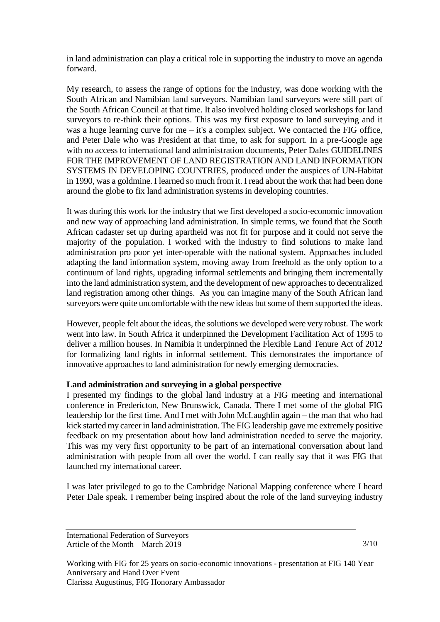in land administration can play a critical role in supporting the industry to move an agenda forward.

My research, to assess the range of options for the industry, was done working with the South African and Namibian land surveyors. Namibian land surveyors were still part of the South African Council at that time. It also involved holding closed workshops for land surveyors to re-think their options. This was my first exposure to land surveying and it was a huge learning curve for me – it's a complex subject. We contacted the FIG office, and Peter Dale who was President at that time, to ask for support. In a pre-Google age with no access to international land administration documents, Peter Dales GUIDELINES FOR THE IMPROVEMENT OF LAND REGISTRATION AND LAND INFORMATION SYSTEMS IN DEVELOPING COUNTRIES, produced under the auspices of UN-Habitat in 1990, was a goldmine. I learned so much from it. I read about the work that had been done around the globe to fix land administration systems in developing countries.

It was during this work for the industry that we first developed a socio-economic innovation and new way of approaching land administration. In simple terms, we found that the South African cadaster set up during apartheid was not fit for purpose and it could not serve the majority of the population. I worked with the industry to find solutions to make land administration pro poor yet inter-operable with the national system. Approaches included adapting the land information system, moving away from freehold as the only option to a continuum of land rights, upgrading informal settlements and bringing them incrementally into the land administration system, and the development of new approaches to decentralized land registration among other things. As you can imagine many of the South African land surveyors were quite uncomfortable with the new ideas but some of them supported the ideas.

However, people felt about the ideas, the solutions we developed were very robust. The work went into law. In South Africa it underpinned the Development Facilitation Act of 1995 to deliver a million houses. In Namibia it underpinned the Flexible Land Tenure Act of 2012 for formalizing land rights in informal settlement. This demonstrates the importance of innovative approaches to land administration for newly emerging democracies.

### **Land administration and surveying in a global perspective**

I presented my findings to the global land industry at a FIG meeting and international conference in Fredericton, New Brunswick, Canada. There I met some of the global FIG leadership for the first time. And I met with John McLaughlin again – the man that who had kick started my career in land administration. The FIG leadership gave me extremely positive feedback on my presentation about how land administration needed to serve the majority. This was my very first opportunity to be part of an international conversation about land administration with people from all over the world. I can really say that it was FIG that launched my international career.

I was later privileged to go to the Cambridge National Mapping conference where I heard Peter Dale speak. I remember being inspired about the role of the land surveying industry

International Federation of Surveyors Article of the Month – March 2019

3/10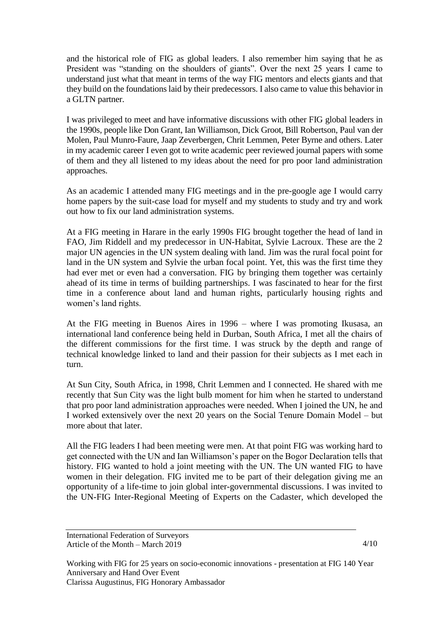and the historical role of FIG as global leaders. I also remember him saying that he as President was "standing on the shoulders of giants". Over the next 25 years I came to understand just what that meant in terms of the way FIG mentors and elects giants and that they build on the foundations laid by their predecessors. I also came to value this behavior in a GLTN partner.

I was privileged to meet and have informative discussions with other FIG global leaders in the 1990s, people like Don Grant, Ian Williamson, Dick Groot, Bill Robertson, Paul van der Molen, Paul Munro-Faure, Jaap Zeverbergen, Chrit Lemmen, Peter Byrne and others. Later in my academic career I even got to write academic peer reviewed journal papers with some of them and they all listened to my ideas about the need for pro poor land administration approaches.

As an academic I attended many FIG meetings and in the pre-google age I would carry home papers by the suit-case load for myself and my students to study and try and work out how to fix our land administration systems.

At a FIG meeting in Harare in the early 1990s FIG brought together the head of land in FAO, Jim Riddell and my predecessor in UN-Habitat, Sylvie Lacroux. These are the 2 major UN agencies in the UN system dealing with land. Jim was the rural focal point for land in the UN system and Sylvie the urban focal point. Yet, this was the first time they had ever met or even had a conversation. FIG by bringing them together was certainly ahead of its time in terms of building partnerships. I was fascinated to hear for the first time in a conference about land and human rights, particularly housing rights and women's land rights.

At the FIG meeting in Buenos Aires in 1996 – where I was promoting Ikusasa, an international land conference being held in Durban, South Africa, I met all the chairs of the different commissions for the first time. I was struck by the depth and range of technical knowledge linked to land and their passion for their subjects as I met each in turn.

At Sun City, South Africa, in 1998, Chrit Lemmen and I connected. He shared with me recently that Sun City was the light bulb moment for him when he started to understand that pro poor land administration approaches were needed. When I joined the UN, he and I worked extensively over the next 20 years on the Social Tenure Domain Model – but more about that later.

All the FIG leaders I had been meeting were men. At that point FIG was working hard to get connected with the UN and Ian Williamson's paper on the Bogor Declaration tells that history. FIG wanted to hold a joint meeting with the UN. The UN wanted FIG to have women in their delegation. FIG invited me to be part of their delegation giving me an opportunity of a life-time to join global inter-governmental discussions. I was invited to the UN-FIG Inter-Regional Meeting of Experts on the Cadaster, which developed the

International Federation of Surveyors Article of the Month – March 2019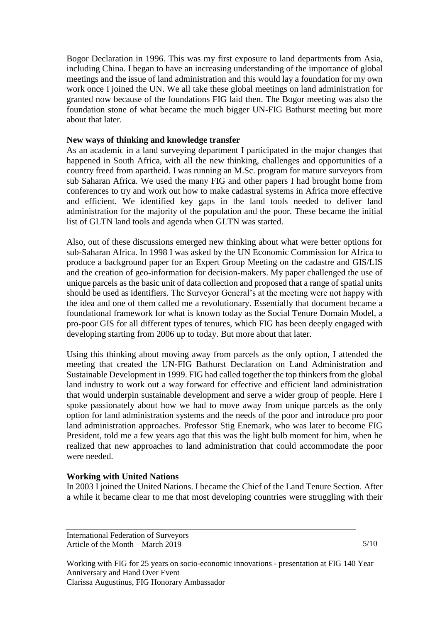Bogor Declaration in 1996. This was my first exposure to land departments from Asia, including China. I began to have an increasing understanding of the importance of global meetings and the issue of land administration and this would lay a foundation for my own work once I joined the UN. We all take these global meetings on land administration for granted now because of the foundations FIG laid then. The Bogor meeting was also the foundation stone of what became the much bigger UN-FIG Bathurst meeting but more about that later.

#### **New ways of thinking and knowledge transfer**

As an academic in a land surveying department I participated in the major changes that happened in South Africa, with all the new thinking, challenges and opportunities of a country freed from apartheid. I was running an M.Sc. program for mature surveyors from sub Saharan Africa. We used the many FIG and other papers I had brought home from conferences to try and work out how to make cadastral systems in Africa more effective and efficient. We identified key gaps in the land tools needed to deliver land administration for the majority of the population and the poor. These became the initial list of GLTN land tools and agenda when GLTN was started.

Also, out of these discussions emerged new thinking about what were better options for sub-Saharan Africa. In 1998 I was asked by the UN Economic Commission for Africa to produce a background paper for an Expert Group Meeting on the cadastre and GIS/LIS and the creation of geo-information for decision-makers. My paper challenged the use of unique parcels as the basic unit of data collection and proposed that a range of spatial units should be used as identifiers. The Surveyor General's at the meeting were not happy with the idea and one of them called me a revolutionary. Essentially that document became a foundational framework for what is known today as the Social Tenure Domain Model, a pro-poor GIS for all different types of tenures, which FIG has been deeply engaged with developing starting from 2006 up to today. But more about that later.

Using this thinking about moving away from parcels as the only option, I attended the meeting that created the UN-FIG Bathurst Declaration on Land Administration and Sustainable Development in 1999. FIG had called together the top thinkers from the global land industry to work out a way forward for effective and efficient land administration that would underpin sustainable development and serve a wider group of people. Here I spoke passionately about how we had to move away from unique parcels as the only option for land administration systems and the needs of the poor and introduce pro poor land administration approaches. Professor Stig Enemark, who was later to become FIG President, told me a few years ago that this was the light bulb moment for him, when he realized that new approaches to land administration that could accommodate the poor were needed.

### **Working with United Nations**

In 2003 I joined the United Nations. I became the Chief of the Land Tenure Section. After a while it became clear to me that most developing countries were struggling with their

International Federation of Surveyors Article of the Month – March 2019

5/10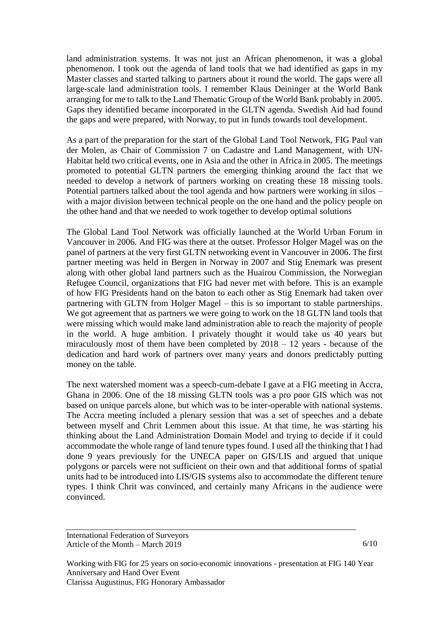land administration systems. It was not just an African phenomenon, it was a global phenomenon. I took out the agenda of land tools that we had identified as gaps in my Master classes and started talking to partners about it round the world. The gaps were all large-scale land administration tools. I remember Klaus Deininger at the World Bank arranging for me to talk to the Land Thematic Group of the World Bank probably in 2005. Gaps they identified became incorporated in the GLTN agenda. Swedish Aid had found the gaps and were prepared, with Norway, to put in funds towards tool development.

As a part of the preparation for the start of the Global Land Tool Network, FIG Paul van der Molen, as Chair of Commission 7 on Cadastre and Land Management, with UN-Habitat held two critical events, one in Asia and the other in Africa in 2005. The meetings promoted to potential GLTN partners the emerging thinking around the fact that we needed to develop a network of partners working on creating these 18 missing tools. Potential partners talked about the tool agenda and how partners were working in silos – with a major division between technical people on the one hand and the policy people on the other hand and that we needed to work together to develop optimal solutions

The Global Land Tool Network was officially launched at the World Urban Forum in Vancouver in 2006. And FIG was there at the outset. Professor Holger Magel was on the panel of partners at the very first GLTN networking event in Vancouver in 2006. The first partner meeting was held in Bergen in Norway in 2007 and Stig Enemark was present along with other global land partners such as the Huairou Commission, the Norwegian Refugee Council, organizations that FIG had never met with before. This is an example of how FIG Presidents hand on the baton to each other as Stig Enemark had taken over partnering with GLTN from Holger Magel – this is so important to stable partnerships. We got agreement that as partners we were going to work on the 18 GLTN land tools that were missing which would make land administration able to reach the majority of people in the world. A huge ambition. I privately thought it would take us 40 years but miraculously most of them have been completed by 2018 – 12 years - because of the dedication and hard work of partners over many years and donors predictably putting money on the table.

The next watershed moment was a speech-cum-debate I gave at a FIG meeting in Accra, Ghana in 2006. One of the 18 missing GLTN tools was a pro poor GIS which was not based on unique parcels alone, but which was to be inter-operable with national systems. The Accra meeting included a plenary session that was a set of speeches and a debate between myself and Chrit Lemmen about this issue. At that time, he was starting his thinking about the Land Administration Domain Model and trying to decide if it could accommodate the whole range of land tenure types found. I used all the thinking that I had done 9 years previously for the UNECA paper on GIS/LIS and argued that unique polygons or parcels were not sufficient on their own and that additional forms of spatial units had to be introduced into LIS/GIS systems also to accommodate the different tenure types. I think Chrit was convinced, and certainly many Africans in the audience were convinced.

International Federation of Surveyors Article of the Month – March 2019

6/10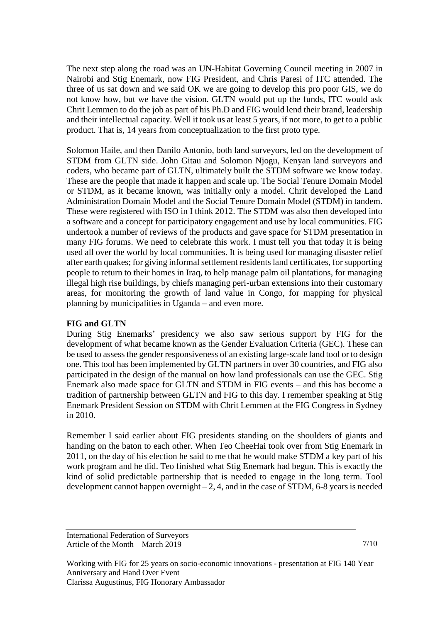The next step along the road was an UN-Habitat Governing Council meeting in 2007 in Nairobi and Stig Enemark, now FIG President, and Chris Paresi of ITC attended. The three of us sat down and we said OK we are going to develop this pro poor GIS, we do not know how, but we have the vision. GLTN would put up the funds, ITC would ask Chrit Lemmen to do the job as part of his Ph.D and FIG would lend their brand, leadership and their intellectual capacity. Well it took us at least 5 years, if not more, to get to a public product. That is, 14 years from conceptualization to the first proto type.

Solomon Haile, and then Danilo Antonio, both land surveyors, led on the development of STDM from GLTN side. John Gitau and Solomon Njogu, Kenyan land surveyors and coders, who became part of GLTN, ultimately built the STDM software we know today. These are the people that made it happen and scale up. The Social Tenure Domain Model or STDM, as it became known, was initially only a model. Chrit developed the Land Administration Domain Model and the Social Tenure Domain Model (STDM) in tandem. These were registered with ISO in I think 2012. The STDM was also then developed into a software and a concept for participatory engagement and use by local communities. FIG undertook a number of reviews of the products and gave space for STDM presentation in many FIG forums. We need to celebrate this work. I must tell you that today it is being used all over the world by local communities. It is being used for managing disaster relief after earth quakes; for giving informal settlement residents land certificates, for supporting people to return to their homes in Iraq, to help manage palm oil plantations, for managing illegal high rise buildings, by chiefs managing peri-urban extensions into their customary areas, for monitoring the growth of land value in Congo, for mapping for physical planning by municipalities in Uganda – and even more.

### **FIG and GLTN**

During Stig Enemarks' presidency we also saw serious support by FIG for the development of what became known as the Gender Evaluation Criteria (GEC). These can be used to assess the gender responsiveness of an existing large-scale land tool or to design one. This tool has been implemented by GLTN partners in over 30 countries, and FIG also participated in the design of the manual on how land professionals can use the GEC. Stig Enemark also made space for GLTN and STDM in FIG events – and this has become a tradition of partnership between GLTN and FIG to this day. I remember speaking at Stig Enemark President Session on STDM with Chrit Lemmen at the FIG Congress in Sydney in 2010.

Remember I said earlier about FIG presidents standing on the shoulders of giants and handing on the baton to each other. When Teo CheeHai took over from Stig Enemark in 2011, on the day of his election he said to me that he would make STDM a key part of his work program and he did. Teo finished what Stig Enemark had begun. This is exactly the kind of solid predictable partnership that is needed to engage in the long term. Tool development cannot happen overnight  $-2$ , 4, and in the case of STDM, 6-8 years is needed

International Federation of Surveyors Article of the Month – March 2019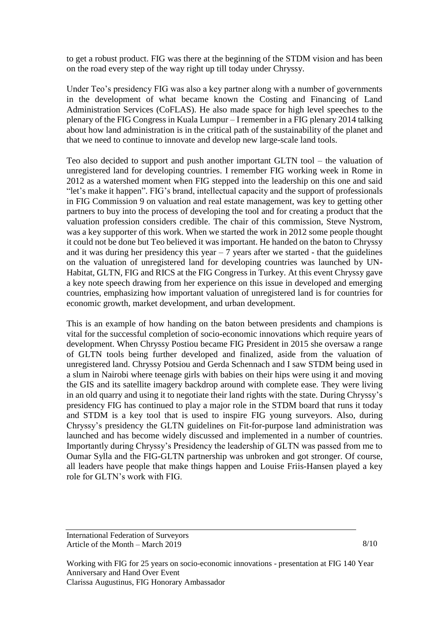to get a robust product. FIG was there at the beginning of the STDM vision and has been on the road every step of the way right up till today under Chryssy.

Under Teo's presidency FIG was also a key partner along with a number of governments in the development of what became known the Costing and Financing of Land Administration Services (CoFLAS). He also made space for high level speeches to the plenary of the FIG Congress in Kuala Lumpur – I remember in a FIG plenary 2014 talking about how land administration is in the critical path of the sustainability of the planet and that we need to continue to innovate and develop new large-scale land tools.

Teo also decided to support and push another important GLTN tool – the valuation of unregistered land for developing countries. I remember FIG working week in Rome in 2012 as a watershed moment when FIG stepped into the leadership on this one and said "let's make it happen". FIG's brand, intellectual capacity and the support of professionals in FIG Commission 9 on valuation and real estate management, was key to getting other partners to buy into the process of developing the tool and for creating a product that the valuation profession considers credible. The chair of this commission, Steve Nystrom, was a key supporter of this work. When we started the work in 2012 some people thought it could not be done but Teo believed it was important. He handed on the baton to Chryssy and it was during her presidency this year  $-7$  years after we started - that the guidelines on the valuation of unregistered land for developing countries was launched by UN-Habitat, GLTN, FIG and RICS at the FIG Congress in Turkey. At this event Chryssy gave a key note speech drawing from her experience on this issue in developed and emerging countries, emphasizing how important valuation of unregistered land is for countries for economic growth, market development, and urban development.

This is an example of how handing on the baton between presidents and champions is vital for the successful completion of socio-economic innovations which require years of development. When Chryssy Postiou became FIG President in 2015 she oversaw a range of GLTN tools being further developed and finalized, aside from the valuation of unregistered land. Chryssy Potsiou and Gerda Schennach and I saw STDM being used in a slum in Nairobi where teenage girls with babies on their hips were using it and moving the GIS and its satellite imagery backdrop around with complete ease. They were living in an old quarry and using it to negotiate their land rights with the state. During Chryssy's presidency FIG has continued to play a major role in the STDM board that runs it today and STDM is a key tool that is used to inspire FIG young surveyors. Also, during Chryssy's presidency the GLTN guidelines on Fit-for-purpose land administration was launched and has become widely discussed and implemented in a number of countries. Importantly during Chryssy's Presidency the leadership of GLTN was passed from me to Oumar Sylla and the FIG-GLTN partnership was unbroken and got stronger. Of course, all leaders have people that make things happen and Louise Friis-Hansen played a key role for GLTN's work with FIG.

International Federation of Surveyors Article of the Month – March 2019

8/10

Working with FIG for 25 years on socio-economic innovations - presentation at FIG 140 Year Anniversary and Hand Over Event Clarissa Augustinus, FIG Honorary Ambassador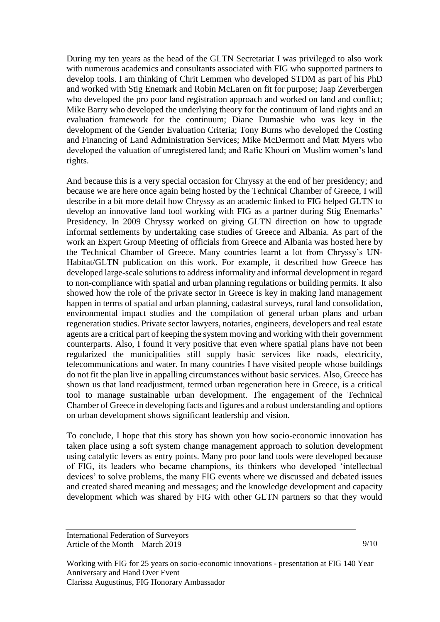During my ten years as the head of the GLTN Secretariat I was privileged to also work with numerous academics and consultants associated with FIG who supported partners to develop tools. I am thinking of Chrit Lemmen who developed STDM as part of his PhD and worked with Stig Enemark and Robin McLaren on fit for purpose; Jaap Zeverbergen who developed the pro poor land registration approach and worked on land and conflict; Mike Barry who developed the underlying theory for the continuum of land rights and an evaluation framework for the continuum; Diane Dumashie who was key in the development of the Gender Evaluation Criteria; Tony Burns who developed the Costing and Financing of Land Administration Services; Mike McDermott and Matt Myers who developed the valuation of unregistered land; and Rafic Khouri on Muslim women's land rights.

And because this is a very special occasion for Chryssy at the end of her presidency; and because we are here once again being hosted by the Technical Chamber of Greece, I will describe in a bit more detail how Chryssy as an academic linked to FIG helped GLTN to develop an innovative land tool working with FIG as a partner during Stig Enemarks' Presidency. In 2009 Chryssy worked on giving GLTN direction on how to upgrade informal settlements by undertaking case studies of Greece and Albania. As part of the work an Expert Group Meeting of officials from Greece and Albania was hosted here by the Technical Chamber of Greece. Many countries learnt a lot from Chryssy's UN-Habitat/GLTN publication on this work. For example, it described how Greece has developed large-scale solutions to address informality and informal development in regard to non-compliance with spatial and urban planning regulations or building permits. It also showed how the role of the private sector in Greece is key in making land management happen in terms of spatial and urban planning, cadastral surveys, rural land consolidation, environmental impact studies and the compilation of general urban plans and urban regeneration studies. Private sector lawyers, notaries, engineers, developers and real estate agents are a critical part of keeping the system moving and working with their government counterparts. Also, I found it very positive that even where spatial plans have not been regularized the municipalities still supply basic services like roads, electricity, telecommunications and water. In many countries I have visited people whose buildings do not fit the plan live in appalling circumstances without basic services. Also, Greece has shown us that land readjustment, termed urban regeneration here in Greece, is a critical tool to manage sustainable urban development. The engagement of the Technical Chamber of Greece in developing facts and figures and a robust understanding and options on urban development shows significant leadership and vision.

To conclude, I hope that this story has shown you how socio-economic innovation has taken place using a soft system change management approach to solution development using catalytic levers as entry points. Many pro poor land tools were developed because of FIG, its leaders who became champions, its thinkers who developed 'intellectual devices' to solve problems, the many FIG events where we discussed and debated issues and created shared meaning and messages; and the knowledge development and capacity development which was shared by FIG with other GLTN partners so that they would

International Federation of Surveyors Article of the Month – March 2019

9/10